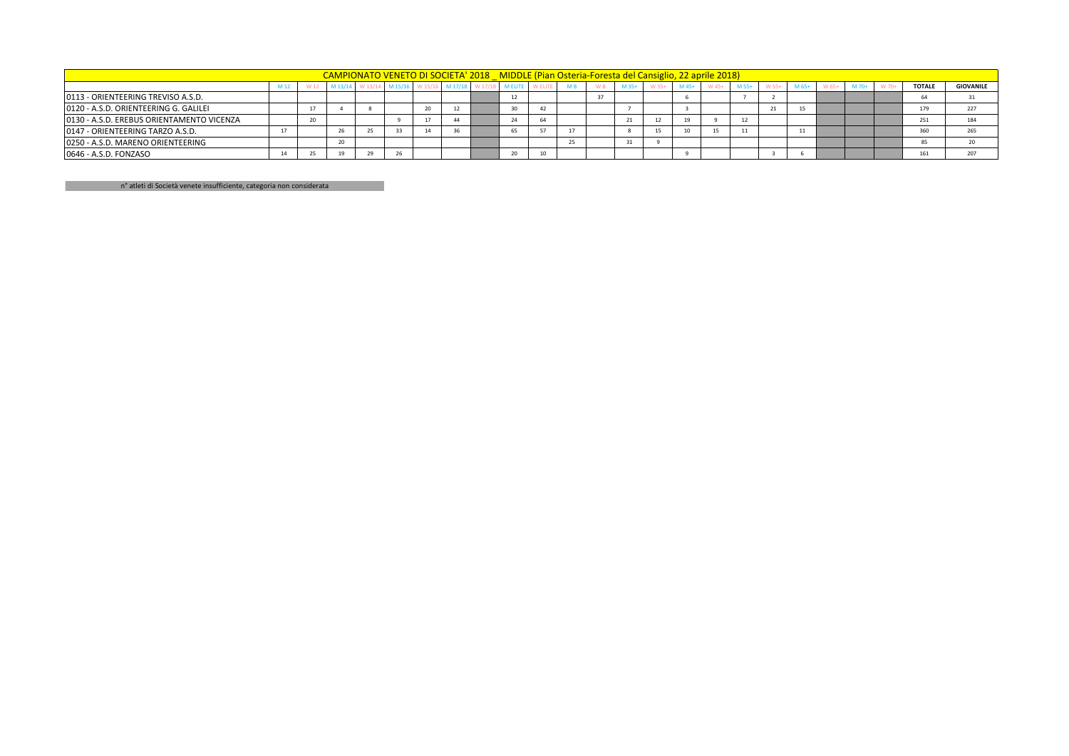|                                           | CAMPIONATO VENETO DI SOCIETA' 2018 MIDDLE (Pian Osteria-Foresta del Cansiglio, 22 aprile 2018) |  |         |  |                 |                |         |                    |  |    |  |  |      |  |       |       |                       |  |               |                  |
|-------------------------------------------|------------------------------------------------------------------------------------------------|--|---------|--|-----------------|----------------|---------|--------------------|--|----|--|--|------|--|-------|-------|-----------------------|--|---------------|------------------|
|                                           |                                                                                                |  | M 13/14 |  | W 13/14 M 15/16 | $W 15/\lambda$ | M 17/18 | W <sub>17/13</sub> |  |    |  |  | M 35 |  | M 55+ | - W.F | M 65+                 |  | <b>TOTALE</b> | <b>GIOVANILE</b> |
| 0113 - ORIENTEERING TREVISO A.S.D.        |                                                                                                |  |         |  |                 |                |         |                    |  |    |  |  |      |  |       |       |                       |  |               |                  |
| 0120 - A.S.D. ORIENTEERING G. GALILEI     |                                                                                                |  |         |  |                 |                |         |                    |  | 42 |  |  |      |  |       |       | 15                    |  | 179           | 227              |
| 0130 - A.S.D. EREBUS ORIENTAMENTO VICENZA |                                                                                                |  |         |  |                 |                |         |                    |  |    |  |  |      |  |       |       |                       |  | 251           | 184              |
| 0147 - ORIENTEERING TARZO A.S.D.          |                                                                                                |  | 26      |  |                 | A              |         |                    |  |    |  |  |      |  |       |       | $\overline{a}$<br>-44 |  | 360           |                  |
| 0250 - A.S.D. MARENO ORIENTEERING         |                                                                                                |  | 20      |  |                 |                |         |                    |  |    |  |  |      |  |       |       |                       |  |               |                  |
| 0646 - A.S.D. FONZASO                     |                                                                                                |  | 19      |  |                 |                |         |                    |  | 10 |  |  |      |  |       |       |                       |  |               |                  |

n° atleti di Società venete insufficiente, categoria non considerata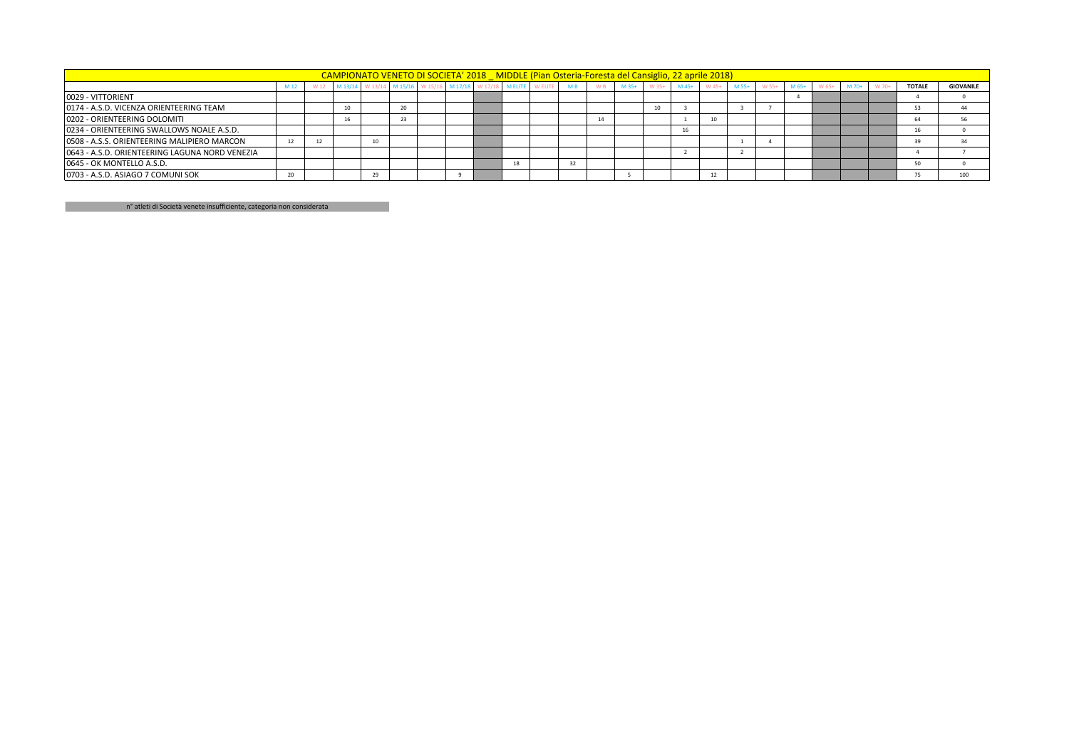|                                                | CAMPIONATO VENETO DI SOCIETA' 2018 MIDDLE (Pian Osteria-Foresta del Cansiglio, 22 aprile 2018) |      |    |        |  |  |  |  |  |                                                                      |  |         |       |         |       |         |       |         |       |       |       |               |                  |
|------------------------------------------------|------------------------------------------------------------------------------------------------|------|----|--------|--|--|--|--|--|----------------------------------------------------------------------|--|---------|-------|---------|-------|---------|-------|---------|-------|-------|-------|---------------|------------------|
|                                                | M 12                                                                                           | W 12 |    |        |  |  |  |  |  | M 13/14 W 13/14 M 15/16 W 15/16 M 17/18 W 17/18 M ELITE WELITE MB WB |  | $M$ 35+ | W 35+ | $M$ 45+ | W 45+ | $M$ 55+ | W 55+ | $M$ 65+ | W 65+ | M 70+ | W 70+ | <b>TOTALE</b> | <b>GIOVANILE</b> |
| 0029 - VITTORIENT                              |                                                                                                |      |    |        |  |  |  |  |  |                                                                      |  |         |       |         |       |         |       |         |       |       |       |               |                  |
| 0174 - A.S.D. VICENZA ORIENTEERING TEAM        |                                                                                                |      |    | $\sim$ |  |  |  |  |  |                                                                      |  |         |       |         |       |         |       |         |       |       |       |               |                  |
| 0202 - ORIENTEERING DOLOMITI                   |                                                                                                |      |    | 23     |  |  |  |  |  |                                                                      |  |         |       |         |       |         |       |         |       |       |       |               |                  |
| 0234 - ORIENTEERING SWALLOWS NOALE A.S.D.      |                                                                                                |      |    |        |  |  |  |  |  |                                                                      |  |         |       | 16      |       |         |       |         |       |       |       |               |                  |
| 0508 - A.S.S. ORIENTEERING MALIPIERO MARCON    | 12                                                                                             |      |    |        |  |  |  |  |  |                                                                      |  |         |       |         |       |         |       |         |       |       |       |               |                  |
| 0643 - A.S.D. ORIENTEERING LAGUNA NORD VENEZIA |                                                                                                |      |    |        |  |  |  |  |  |                                                                      |  |         |       |         |       |         |       |         |       |       |       |               |                  |
| 10645 - OK MONTELLO A.S.D.                     |                                                                                                |      |    |        |  |  |  |  |  | 32                                                                   |  |         |       |         |       |         |       |         |       |       |       |               |                  |
| 0703 - A.S.D. ASIAGO 7 COMUNI SOK              | 20                                                                                             |      | 29 |        |  |  |  |  |  |                                                                      |  |         |       |         |       |         |       |         |       |       |       |               | 100              |

n° atleti di Società venete insufficiente, categoria non considerata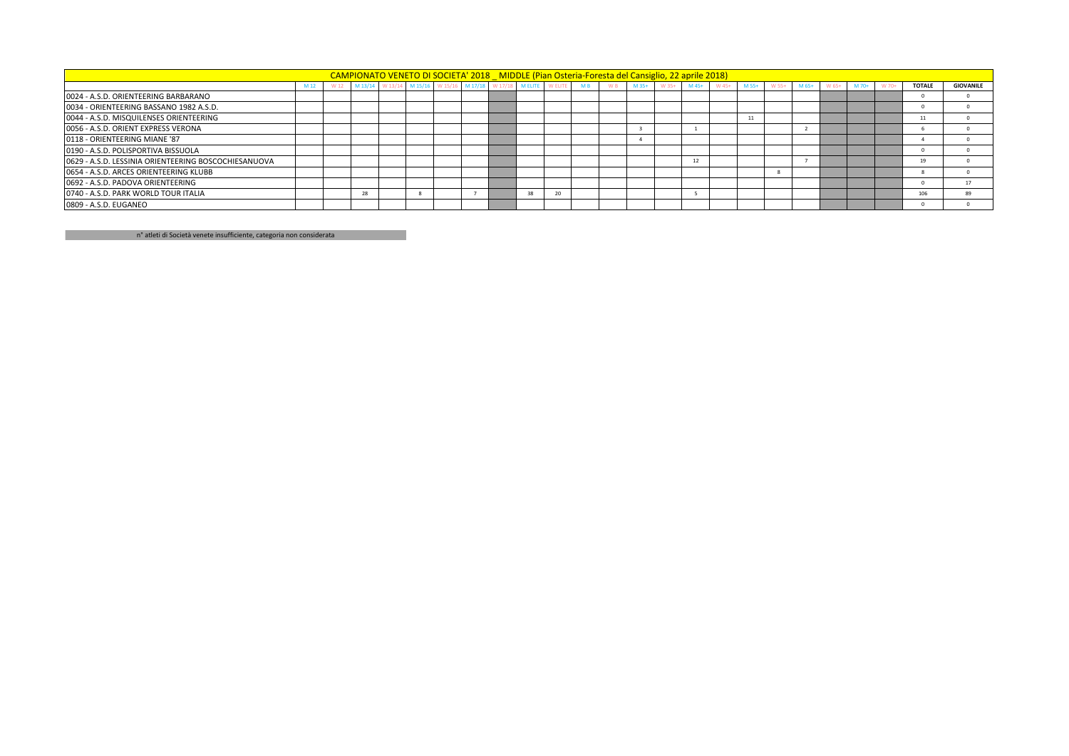|                                                      | CAMPIONATO VENETO DI SOCIETA' 2018 MIDDLE (Pian Osteria-Foresta del Cansiglio, 22 aprile 2018) |      |         |  |                                                           |  |          |  |  |                |                    |         |                |         |       |       |         |       |               |                  |
|------------------------------------------------------|------------------------------------------------------------------------------------------------|------|---------|--|-----------------------------------------------------------|--|----------|--|--|----------------|--------------------|---------|----------------|---------|-------|-------|---------|-------|---------------|------------------|
|                                                      | M 12                                                                                           | W 12 | M 13/14 |  | W 13/14 M 15/16 W 15/16 M 17/18 W 17/18 M ELITE WELITE MB |  |          |  |  | W <sub>B</sub> | $M$ 35+<br>$W$ 35+ | $M$ 45+ | M 55+<br>W 45+ | $W$ 55+ | M 65+ | W 65+ | $M$ 70+ | W 70+ | <b>TOTALE</b> | <b>GIOVANILE</b> |
| 0024 - A.S.D. ORIENTEERING BARBARANO                 |                                                                                                |      |         |  |                                                           |  |          |  |  |                |                    |         |                |         |       |       |         |       |               |                  |
| 0034 - ORIENTEERING BASSANO 1982 A.S.D.              |                                                                                                |      |         |  |                                                           |  |          |  |  |                |                    |         |                |         |       |       |         |       |               |                  |
| 0044 - A.S.D. MISQUILENSES ORIENTEERING              |                                                                                                |      |         |  |                                                           |  |          |  |  |                |                    |         | 11             |         |       |       |         |       | 11            |                  |
| 0056 - A.S.D. ORIENT EXPRESS VERONA                  |                                                                                                |      |         |  |                                                           |  |          |  |  |                |                    |         |                |         |       |       |         |       |               |                  |
| 0118 - ORIENTEERING MIANE '87                        |                                                                                                |      |         |  |                                                           |  |          |  |  |                |                    |         |                |         |       |       |         |       |               |                  |
| 0190 - A.S.D. POLISPORTIVA BISSUOLA                  |                                                                                                |      |         |  |                                                           |  |          |  |  |                |                    |         |                |         |       |       |         |       |               |                  |
| 0629 - A.S.D. LESSINIA ORIENTEERING BOSCOCHIESANUOVA |                                                                                                |      |         |  |                                                           |  |          |  |  |                |                    | 12      |                |         |       |       |         |       | 19            |                  |
| 0654 - A.S.D. ARCES ORIENTEERING KLUBB               |                                                                                                |      |         |  |                                                           |  |          |  |  |                |                    |         |                |         |       |       |         |       |               |                  |
| 0692 - A.S.D. PADOVA ORIENTEERING                    |                                                                                                |      |         |  |                                                           |  |          |  |  |                |                    |         |                |         |       |       |         |       |               | 17               |
| 0740 - A.S.D. PARK WORLD TOUR ITALIA                 |                                                                                                |      | 28      |  |                                                           |  | 38<br>20 |  |  |                |                    |         |                |         |       |       |         |       | 106           | 89               |
| 0809 - A.S.D. EUGANEO                                |                                                                                                |      |         |  |                                                           |  |          |  |  |                |                    |         |                |         |       |       |         |       |               |                  |

n° atleti di Società venete insufficiente, categoria non considerata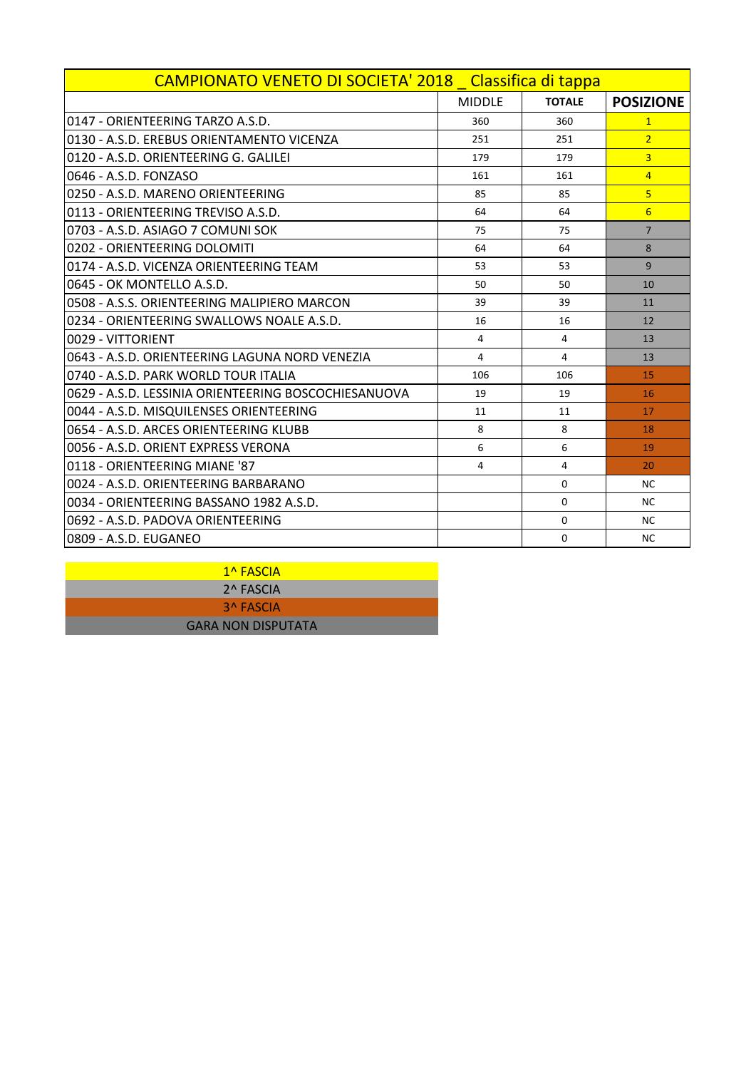| CAMPIONATO VENETO DI SOCIETA' 2018 Classifica di tappa |                |                |                  |
|--------------------------------------------------------|----------------|----------------|------------------|
|                                                        | <b>MIDDLE</b>  | <b>TOTALE</b>  | <b>POSIZIONE</b> |
| 10147 - ORIENTEERING TARZO A.S.D.                      | 360            | 360            | $\mathbf{1}$     |
| 0130 - A.S.D. EREBUS ORIENTAMENTO VICENZA              | 251            | 251            | $\overline{2}$   |
| 0120 - A.S.D. ORIENTEERING G. GALILEI                  | 179            | 179            | $\overline{3}$   |
| 0646 - A.S.D. FONZASO                                  | 161            | 161            | $\overline{4}$   |
| l0250 - A.S.D. MARENO ORIENTEERING                     | 85             | 85             | 5 <sup>1</sup>   |
| 0113 - ORIENTEERING TREVISO A.S.D.                     | 64             | 64             | 6                |
| l0703 - A.S.D. ASIAGO 7 COMUNI SOK                     | 75             | 75             | $\overline{7}$   |
| 0202 - ORIENTEERING DOLOMITI                           | 64             | 64             | 8                |
| 0174 - A.S.D. VICENZA ORIENTEERING TEAM                | 53             | 53             | 9                |
| l0645 - OK MONTELLO A.S.D.                             | 50             | 50             | 10               |
| 0508 - A.S.S. ORIENTEERING MALIPIERO MARCON            | 39             | 39             | 11               |
| l0234 - ORIENTEERING SWALLOWS NOALE A.S.D.             | 16             | 16             | 12               |
| 0029 - VITTORIENT                                      | $\overline{4}$ | $\overline{4}$ | 13               |
| 0643 - A.S.D. ORIFNTFFRING LAGUNA NORD VENFZIA         | 4              | 4              | 13               |
| 10740 - A.S.D. PARK WORLD TOUR ITALIA                  | 106            | 106            | 15               |
| 0629 - A.S.D. LESSINIA ORIENTEERING BOSCOCHIESANUOVA   | 19             | 19             | 16               |
| 0044 - A.S.D. MISQUILENSES ORIENTEERING                | 11             | 11             | 17               |
| 10654 - A.S.D. ARCES ORIENTEERING KLUBB                | 8              | 8              | 18               |
| 0056 - A.S.D. ORIENT EXPRESS VERONA                    | 6              | 6              | 19               |
| 0118 - ORIENTEERING MIANE '87                          | 4              | $\overline{4}$ | 20               |
| 0024 - A.S.D. ORIFNTFFRING BARBARANO                   |                | $\Omega$       | <b>NC</b>        |
| l0034 - ORIENTEERING BASSANO 1982 A.S.D.               |                | $\Omega$       | <b>NC</b>        |
| 10692 - A.S.D. PADOVA ORIENTEERING                     |                | $\Omega$       | <b>NC</b>        |
| 0809 - A.S.D. EUGANEO                                  |                | $\Omega$       | <b>NC</b>        |

1^ FASCIA 2^ FASCIA 3^ FASCIA GARA NON DISPUTATA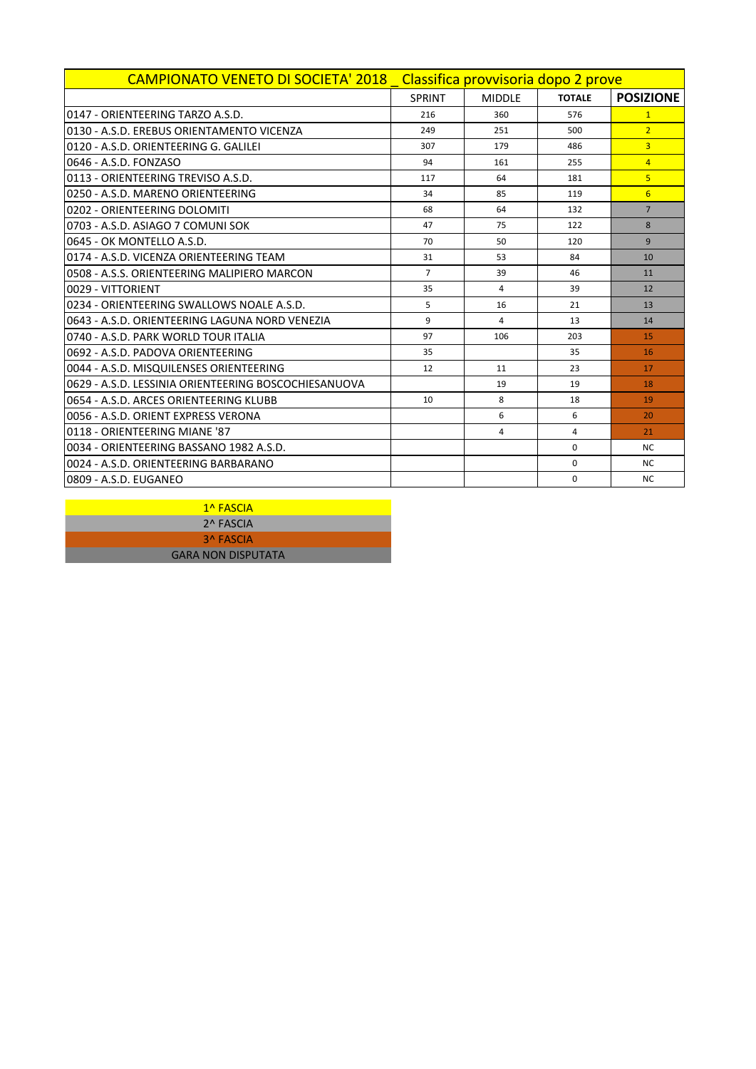| CAMPIONATO VENETO DI SOCIETA' 2018 Classifica provvisoria dopo 2 prove |                |                |               |                  |  |  |  |  |  |
|------------------------------------------------------------------------|----------------|----------------|---------------|------------------|--|--|--|--|--|
|                                                                        | <b>SPRINT</b>  | <b>MIDDLE</b>  | <b>TOTALE</b> | <b>POSIZIONE</b> |  |  |  |  |  |
| 0147 - ORIENTEFRING TARZO A.S.D.                                       | 216            | 360            | 576           | $\mathbf{1}$     |  |  |  |  |  |
| 0130 - A.S.D. EREBUS ORIENTAMENTO VICENZA                              | 249            | 251            | 500           | $\overline{2}$   |  |  |  |  |  |
| 0120 - A.S.D. ORIENTEERING G. GALILEI                                  | 307            | 179            | 486           | $\overline{3}$   |  |  |  |  |  |
| 0646 - A.S.D. FONZASO                                                  | 94             | 161            | 255           | $\overline{4}$   |  |  |  |  |  |
| 0113 - ORIENTEERING TREVISO A.S.D.                                     | 117            | 64             | 181           | $\overline{5}$   |  |  |  |  |  |
| 0250 - A.S.D. MARENO ORIENTEERING                                      | 34             | 85             | 119           | $6 \overline{6}$ |  |  |  |  |  |
| 0202 - ORIENTEERING DOLOMITI                                           | 68             | 64             | 132           | $\overline{7}$   |  |  |  |  |  |
| 0703 - A.S.D. ASIAGO 7 COMUNI SOK                                      | 47             | 75             | 122           | 8                |  |  |  |  |  |
| 0645 - OK MONTELLO A.S.D.                                              | 70             | 50             | 120           | 9                |  |  |  |  |  |
| 0174 - A.S.D. VICENZA ORIENTEERING TEAM                                | 31             | 53             | 84            | 10               |  |  |  |  |  |
| 0508 - A.S.S. ORIENTEERING MALIPIERO MARCON                            | $\overline{7}$ | 39             | 46            | 11               |  |  |  |  |  |
| 0029 - VITTORIENT                                                      | 35             | 4              | 39            | 12               |  |  |  |  |  |
| 0234 - ORIENTEERING SWALLOWS NOALE A.S.D.                              | 5              | 16             | 21            | 13               |  |  |  |  |  |
| 0643 - A.S.D. ORIENTEERING LAGUNA NORD VENEZIA                         | 9              | $\overline{a}$ | 13            | 14               |  |  |  |  |  |
| 0740 - A.S.D. PARK WORLD TOUR ITALIA                                   | 97             | 106            | 203           | 15               |  |  |  |  |  |
| 0692 - A.S.D. PADOVA ORIENTEERING                                      | 35             |                | 35            | 16               |  |  |  |  |  |
| 0044 - A.S.D. MISQUILENSES ORIENTEERING                                | 12             | 11             | 23            | 17               |  |  |  |  |  |
| 0629 - A.S.D. LESSINIA ORIENTEERING BOSCOCHIESANUOVA                   |                | 19             | 19            | 18               |  |  |  |  |  |
| 0654 - A.S.D. ARCES ORIENTEERING KLUBB                                 | 10             | 8              | 18            | 19               |  |  |  |  |  |
| 0056 - A.S.D. ORIENT EXPRESS VERONA                                    |                | 6              | 6             | 20               |  |  |  |  |  |
| 0118 - ORIENTEERING MIANE '87                                          |                | 4              | 4             | 21               |  |  |  |  |  |
| 0034 - ORIENTEERING BASSANO 1982 A.S.D.                                |                |                | $\Omega$      | <b>NC</b>        |  |  |  |  |  |
| 0024 - A.S.D. ORIENTEERING BARBARANO                                   |                |                | $\Omega$      | <b>NC</b>        |  |  |  |  |  |
| l0809 - A.S.D. EUGANEO                                                 |                |                | 0             | <b>NC</b>        |  |  |  |  |  |

1^ FASCIA 2^ FASCIA 3^ FASCIA GARA NON DISPUTATA